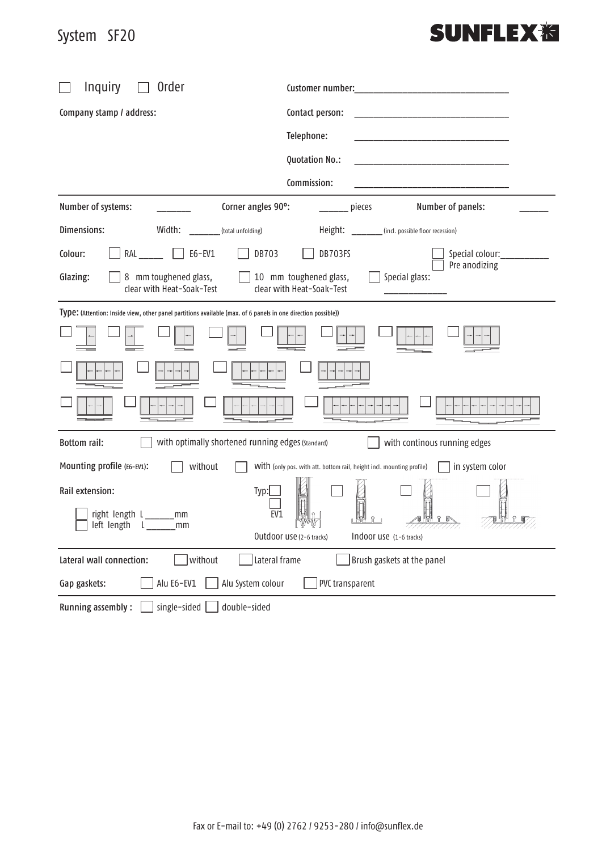## System SF20 System SF20

## **SUNFLEX<sub>泡</sub>**

| Order<br><b>Inquiry</b>                                                                                                           |                                                                                              |
|-----------------------------------------------------------------------------------------------------------------------------------|----------------------------------------------------------------------------------------------|
| Company stamp / address:                                                                                                          | Contact person:                                                                              |
|                                                                                                                                   | Telephone:<br>the control of the control of the control of the control of the control of     |
|                                                                                                                                   | Quotation No.:<br>the control of the control of the control of the control of the control of |
|                                                                                                                                   | Commission:<br>the control of the control of the control of the control of the control of    |
| Number of systems:<br>Corner angles 90°:                                                                                          | Number of panels:<br>pieces                                                                  |
| Dimensions:<br>Width:<br>(total unfolding)                                                                                        | Height: ________ (incl. possible floor recession)                                            |
| DB703<br>RAL<br>E6-EV1<br>Colour:                                                                                                 | DB703FS<br>Special colour: _____________                                                     |
| 8 mm toughened glass,<br>Glazing:<br>clear with Heat-Soak-Test                                                                    | Pre anodizing<br>10 mm toughened glass,<br>Special glass:<br>clear with Heat-Soak-Test       |
| Type: (Attention: Inside view, other panel partitions available (max. of 6 panels in one direction possible))                     |                                                                                              |
|                                                                                                                                   |                                                                                              |
|                                                                                                                                   |                                                                                              |
|                                                                                                                                   |                                                                                              |
| with optimally shortened running edges (Standard)<br><b>Bottom rail:</b>                                                          | with continous running edges                                                                 |
| without<br>Mounting profile (E6-EV1):<br>in system color<br>With (only pos. with att. bottom rail, height incl. mounting profile) |                                                                                              |
| Rail extension:<br>Typ:<br>right length L______<br>EV1<br>mm<br>left length L_____<br>mm                                          | Outdoor use (2-6 tracks)<br>INDOOF USE (1-6 tracks)                                          |
| without<br>Lateral frame<br>Lateral wall connection:                                                                              | Brush gaskets at the panel                                                                   |
| Alu E6-EV1<br>Alu System colour<br>Gap gaskets:                                                                                   | PVC transparent                                                                              |
| <b>Running assembly:</b><br>single-sided<br>double-sided                                                                          |                                                                                              |